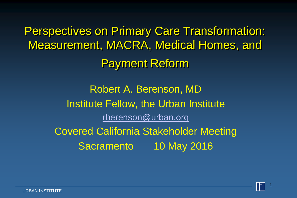Perspectives on Primary Care Transformation: Measurement, MACRA, Medical Homes, and Payment Reform

> Robert A. Berenson, MD Institute Fellow, the Urban Institute [rberenson@urban.org](mailto:rberenson@urban.org) Covered California Stakeholder Meeting Sacramento 10 May 2016

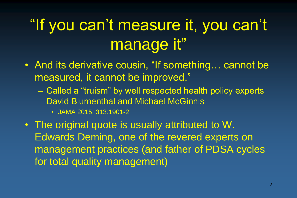# "If you can't measure it, you can't manage it"

- And its derivative cousin, "If something... cannot be measured, it cannot be improved."
	- Called a "truism" by well respected health policy experts David Blumenthal and Michael McGinnis
		- JAMA 2015; 313:1901-2
- The original quote is usually attributed to W. Edwards Deming, one of the revered experts on management practices (and father of PDSA cycles for total quality management)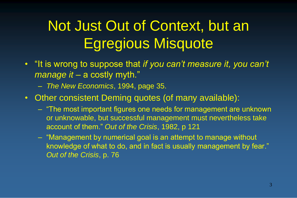## Not Just Out of Context, but an Egregious Misquote

- "It is wrong to suppose that *if you can't measure it, you can't*  manage it – a costly myth."
	- *The New Economics*, 1994, page 35.
- Other consistent Deming quotes (of many available):
	- "The most important figures one needs for management are unknown or unknowable, but successful management must nevertheless take account of them." *Out of the Crisis*, 1982, p 121
	- "Management by numerical goal is an attempt to manage without knowledge of what to do, and in fact is usually management by fear." *Out of the Crisis*, p. 76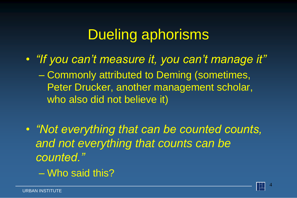## Dueling aphorisms

- *"If you can't measure it, you can't manage it"* – Commonly attributed to Deming (sometimes, Peter Drucker, another management scholar, who also did not believe it)
- *"Not everything that can be counted counts, and not everything that counts can be counted."*
	- Who said this?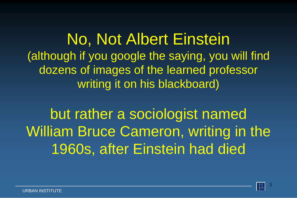No, Not Albert Einstein (although if you google the saying, you will find dozens of images of the learned professor writing it on his blackboard)

but rather a sociologist named William Bruce Cameron, writing in the 1960s, after Einstein had died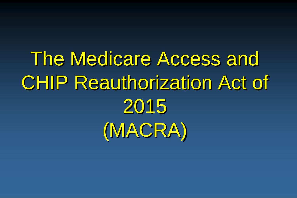The Medicare Access and CHIP Reauthorization Act of 2015 (MACRA)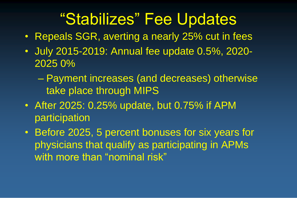## "Stabilizes" Fee Updates

- Repeals SGR, averting a nearly 25% cut in fees
- July 2015-2019: Annual fee update 0.5%, 2020- 2025 0%
	- Payment increases (and decreases) otherwise take place through MIPS
- After 2025: 0.25% update, but 0.75% if APM participation
- Before 2025, 5 percent bonuses for six years for physicians that qualify as participating in APMs with more than "nominal risk"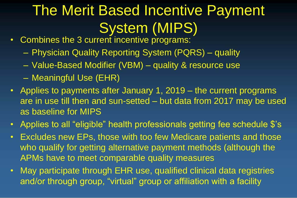# The Merit Based Incentive Payment System (MIPS)

- Combines the 3 current incentive programs:
	- Physician Quality Reporting System (PQRS) quality
	- Value-Based Modifier (VBM) quality & resource use
	- Meaningful Use (EHR)
- Applies to payments after January 1, 2019 the current programs are in use till then and sun-setted – but data from 2017 may be used as baseline for MIPS
- Applies to all "eligible" health professionals getting fee schedule \$'s
- Excludes new EPs, those with too few Medicare patients and those who qualify for getting alternative payment methods (although the APMs have to meet comparable quality measures
- May participate through EHR use, qualified clinical data registries and/or through group, "virtual" group or affiliation with a facility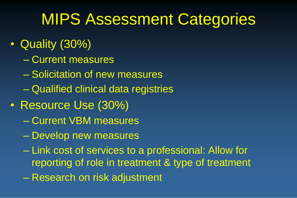## MIPS Assessment Categories

- Quality (30%)
	- Current measures
	- Solicitation of new measures
	- Qualified clinical data registries
- Resource Use (30%)
	- Current VBM measures
	- Develop new measures
	- Link cost of services to a professional: Allow for reporting of role in treatment & type of treatment
	- Research on risk adjustment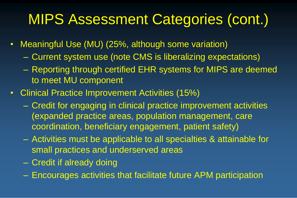## MIPS Assessment Categories (cont.)

- Meaningful Use (MU) (25%, although some variation)
	- Current system use (note CMS is liberalizing expectations)
	- Reporting through certified EHR systems for MIPS are deemed to meet MU component
- Clinical Practice Improvement Activities (15%)
	- Credit for engaging in clinical practice improvement activities (expanded practice areas, population management, care coordination, beneficiary engagement, patient safety)
	- Activities must be applicable to all specialties & attainable for small practices and underserved areas
	- Credit if already doing
	- Encourages activities that facilitate future APM participation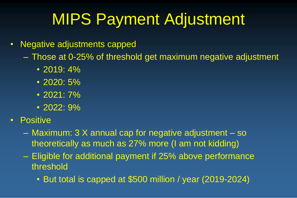# MIPS Payment Adjustment

- Negative adjustments capped
	- Those at 0-25% of threshold get maximum negative adjustment
		- 2019: 4%
		- 2020: 5%
		- $\cdot$  2021: 7%
		- 2022: 9%
- Positive
	- Maximum: 3 X annual cap for negative adjustment so theoretically as much as 27% more (I am not kidding)
	- Eligible for additional payment if 25% above performance threshold
		- But total is capped at \$500 million / year (2019-2024)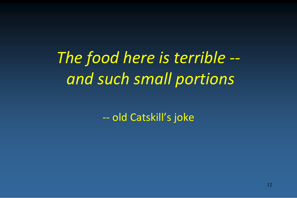*The food here is terrible - and such small portions* 

-- old Catskill's joke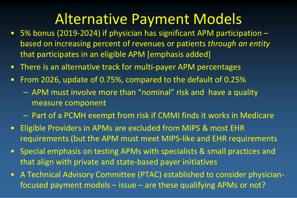### Alternative Payment Models

- 5% bonus (2019-2024) if physician has significant APM participation based on increasing percent of revenues or patients *through an entity*  that participates in an eligible APM [emphasis added]
- There is an alternative track for multi-payer APM percentages
- From 2026, update of 0.75%, compared to the default of 0.25%
	- APM must involve more than "nominal" risk and have a quality measure component
	- Part of a PCMH exempt from risk if CMMI finds it works in Medicare
- Eligible Providers in APMs are excluded from MIPS & most EHR requirements (but the APM must meet MIPS-like and EHR requirements
- Special emphasis on testing APMs with specialists & small practices and that align with private and state-based payer initiatives
- A Technical Advisory Committee (PTAC) established to consider physicianfocused payment models – issue – are these qualifying APMs or not?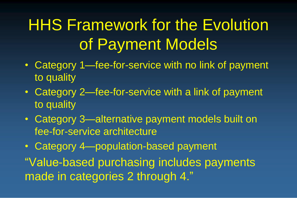# HHS Framework for the Evolution of Payment Models

- Category 1—fee-for-service with no link of payment to quality
- Category 2—fee-for-service with a link of payment to quality
- Category 3—alternative payment models built on fee-for-service architecture
- Category 4—population-based payment

"Value-based purchasing includes payments made in categories 2 through 4."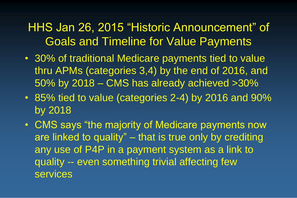#### HHS Jan 26, 2015 "Historic Announcement" of Goals and Timeline for Value Payments

- 30% of traditional Medicare payments tied to value thru APMs (categories 3,4) by the end of 2016, and 50% by 2018 – CMS has already achieved >30%
- 85% tied to value (categories 2-4) by 2016 and 90% by 2018
- CMS says "the majority of Medicare payments now are linked to quality" – that is true only by crediting any use of P4P in a payment system as a link to quality -- even something trivial affecting few services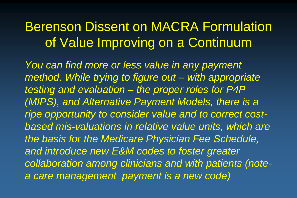### Berenson Dissent on MACRA Formulation of Value Improving on a Continuum

*You can find more or less value in any payment method. While trying to figure out – with appropriate testing and evaluation – the proper roles for P4P (MIPS), and Alternative Payment Models, there is a ripe opportunity to consider value and to correct costbased mis-valuations in relative value units, which are the basis for the Medicare Physician Fee Schedule, and introduce new E&M codes to foster greater collaboration among clinicians and with patients (notea care management payment is a new code)*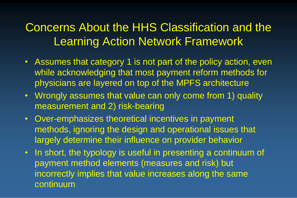#### Concerns About the HHS Classification and the Learning Action Network Framework

- Assumes that category 1 is not part of the policy action, even while acknowledging that most payment reform methods for physicians are layered on top of the MPFS architecture
- Wrongly assumes that value can only come from 1) quality measurement and 2) risk-bearing
- Over-emphasizes theoretical incentives in payment methods, ignoring the design and operational issues that largely determine their influence on provider behavior
- In short, the typology is useful in presenting a continuum of payment method elements (measures and risk) but incorrectly implies that value increases along the same continuum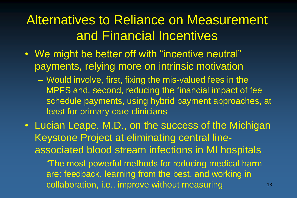### Alternatives to Reliance on Measurement and Financial Incentives

- We might be better off with "incentive neutral" payments, relying more on intrinsic motivation
	- Would involve, first, fixing the mis-valued fees in the MPFS and, second, reducing the financial impact of fee schedule payments, using hybrid payment approaches, at least for primary care clinicians
- Lucian Leape, M.D., on the success of the Michigan Keystone Project at eliminating central lineassociated blood stream infections in MI hospitals
	- "The most powerful methods for reducing medical harm are: feedback, learning from the best, and working in collaboration, i.e., improve without measuring 18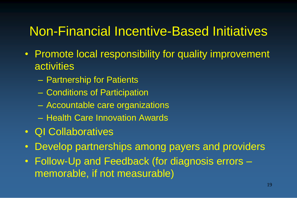#### Non-Financial Incentive-Based Initiatives

- Promote local responsibility for quality improvement **activities** 
	- Partnership for Patients
	- Conditions of Participation
	- Accountable care organizations
	- Health Care Innovation Awards
- QI Collaboratives
- Develop partnerships among payers and providers
- Follow-Up and Feedback (for diagnosis errors memorable, if not measurable)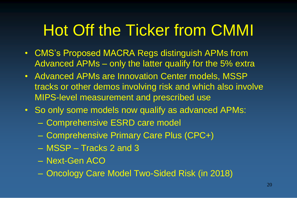# Hot Off the Ticker from CMMI

- CMS's Proposed MACRA Regs distinguish APMs from Advanced APMs – only the latter qualify for the 5% extra
- Advanced APMs are Innovation Center models, MSSP tracks or other demos involving risk and which also involve MIPS-level measurement and prescribed use
- So only some models now qualify as advanced APMs:
	- Comprehensive ESRD care model
	- Comprehensive Primary Care Plus (CPC+)
	- MSSP Tracks 2 and 3
	- Next-Gen ACO
	- Oncology Care Model Two-Sided Risk (in 2018)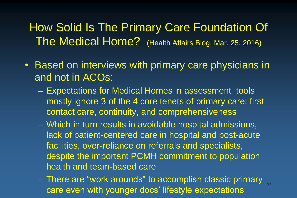How Solid Is The Primary Care Foundation Of The Medical Home? (Health Affairs Blog, Mar. 25, 2016)

- Based on interviews with primary care physicians in and not in ACOs:
	- Expectations for Medical Homes in assessment tools mostly ignore 3 of the 4 core tenets of primary care: first contact care, continuity, and comprehensiveness
	- Which in turn results in avoidable hospital admissions, lack of patient-centered care in hospital and post-acute facilities, over-reliance on referrals and specialists, despite the important PCMH commitment to population health and team-based care
	- There are "work arounds" to accomplish classic primary care even with younger docs' lifestyle expectations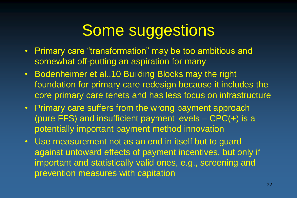# Some suggestions

- Primary care "transformation" may be too ambitious and somewhat off-putting an aspiration for many
- Bodenheimer et al.,10 Building Blocks may the right foundation for primary care redesign because it includes the core primary care tenets and has less focus on infrastructure
- Primary care suffers from the wrong payment approach (pure FFS) and insufficient payment levels – CPC(+) is a potentially important payment method innovation
- Use measurement not as an end in itself but to guard against untoward effects of payment incentives, but only if important and statistically valid ones, e.g., screening and prevention measures with capitation